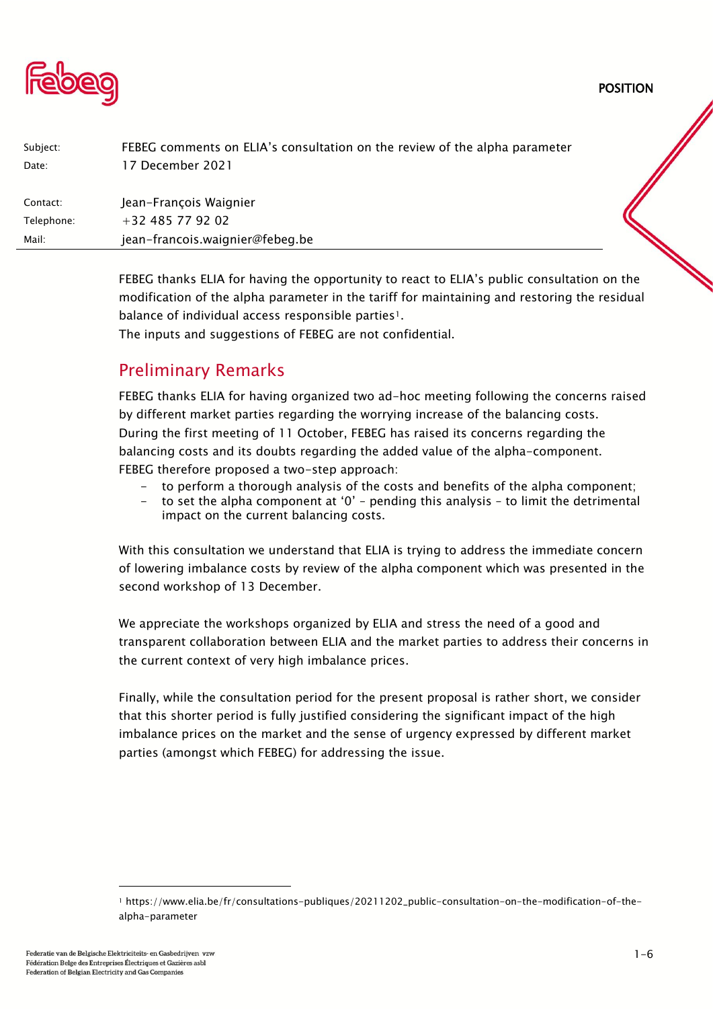POSITION



| FEBEG comments on ELIA's consultation on the review of the alpha parameter |  |
|----------------------------------------------------------------------------|--|
| 17 December 2021                                                           |  |
|                                                                            |  |
| Jean-François Waignier                                                     |  |
| +32 485 77 92 02                                                           |  |
| jean-francois.waignier@febeg.be                                            |  |
|                                                                            |  |
|                                                                            |  |

FEBEG thanks ELIA for having the opportunity to react to ELIA's public consultation on the modification of the alpha parameter in the tariff for maintaining and restoring the residual balance of individual access responsible parties<sup>1</sup>.

The inputs and suggestions of FEBEG are not confidential.

## Preliminary Remarks

FEBEG thanks ELIA for having organized two ad-hoc meeting following the concerns raised by different market parties regarding the worrying increase of the balancing costs. During the first meeting of 11 October, FEBEG has raised its concerns regarding the balancing costs and its doubts regarding the added value of the alpha-component. FEBEG therefore proposed a two-step approach:

- to perform a thorough analysis of the costs and benefits of the alpha component;
- to set the alpha component at '0' pending this analysis to limit the detrimental impact on the current balancing costs.

With this consultation we understand that ELIA is trying to address the immediate concern of lowering imbalance costs by review of the alpha component which was presented in the second workshop of 13 December.

We appreciate the workshops organized by ELIA and stress the need of a good and transparent collaboration between ELIA and the market parties to address their concerns in the current context of very high imbalance prices.

Finally, while the consultation period for the present proposal is rather short, we consider that this shorter period is fully justified considering the significant impact of the high imbalance prices on the market and the sense of urgency expressed by different market parties (amongst which FEBEG) for addressing the issue.

<sup>1</sup> https://www.elia.be/fr/consultations-publiques/20211202\_public-consultation-on-the-modification-of-thealpha-parameter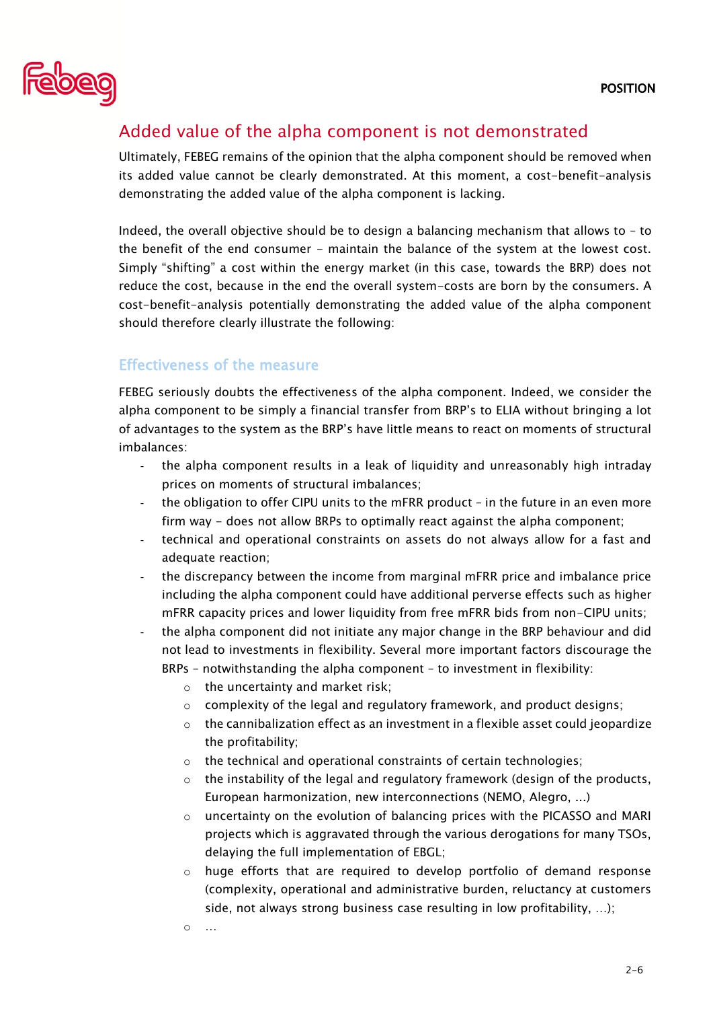

# Added value of the alpha component is not demonstrated

Ultimately, FEBEG remains of the opinion that the alpha component should be removed when its added value cannot be clearly demonstrated. At this moment, a cost-benefit-analysis demonstrating the added value of the alpha component is lacking.

Indeed, the overall objective should be to design a balancing mechanism that allows to – to the benefit of the end consumer - maintain the balance of the system at the lowest cost. Simply "shifting" a cost within the energy market (in this case, towards the BRP) does not reduce the cost, because in the end the overall system-costs are born by the consumers. A cost-benefit-analysis potentially demonstrating the added value of the alpha component should therefore clearly illustrate the following:

#### Effectiveness of the measure

FEBEG seriously doubts the effectiveness of the alpha component. Indeed, we consider the alpha component to be simply a financial transfer from BRP's to ELIA without bringing a lot of advantages to the system as the BRP's have little means to react on moments of structural imbalances:

- the alpha component results in a leak of liquidity and unreasonably high intraday prices on moments of structural imbalances;
- the obligation to offer CIPU units to the mFRR product in the future in an even more firm way - does not allow BRPs to optimally react against the alpha component;
- technical and operational constraints on assets do not always allow for a fast and adequate reaction;
- the discrepancy between the income from marginal mFRR price and imbalance price including the alpha component could have additional perverse effects such as higher mFRR capacity prices and lower liquidity from free mFRR bids from non-CIPU units;
- the alpha component did not initiate any major change in the BRP behaviour and did not lead to investments in flexibility. Several more important factors discourage the BRPs – notwithstanding the alpha component – to investment in flexibility:
	- $\circ$  the uncertainty and market risk;
	- $\circ$  complexity of the legal and regulatory framework, and product designs;
	- $\circ$  the cannibalization effect as an investment in a flexible asset could jeopardize the profitability;
	- o the technical and operational constraints of certain technologies;
	- $\circ$  the instability of the legal and regulatory framework (design of the products, European harmonization, new interconnections (NEMO, Alegro, ...)
	- $\circ$  uncertainty on the evolution of balancing prices with the PICASSO and MARI projects which is aggravated through the various derogations for many TSOs, delaying the full implementation of EBGL;
	- o huge efforts that are required to develop portfolio of demand response (complexity, operational and administrative burden, reluctancy at customers side, not always strong business case resulting in low profitability, …);
	- o …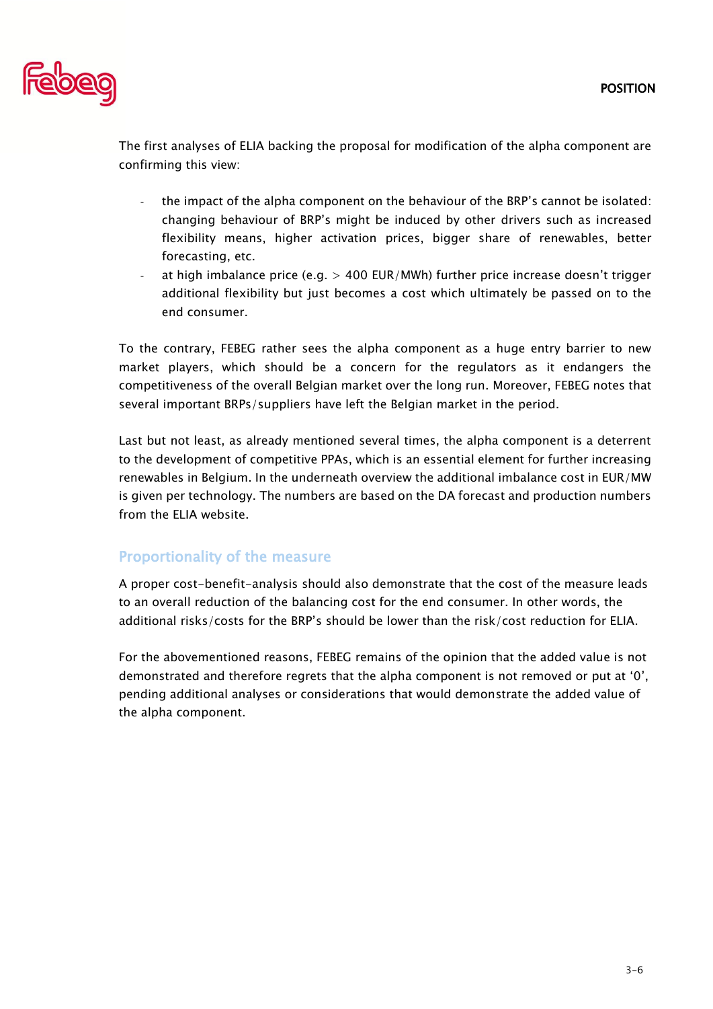

The first analyses of ELIA backing the proposal for modification of the alpha component are confirming this view:

- the impact of the alpha component on the behaviour of the BRP's cannot be isolated: changing behaviour of BRP's might be induced by other drivers such as increased flexibility means, higher activation prices, bigger share of renewables, better forecasting, etc.
- at high imbalance price (e.g.  $> 400$  EUR/MWh) further price increase doesn't trigger additional flexibility but just becomes a cost which ultimately be passed on to the end consumer.

To the contrary, FEBEG rather sees the alpha component as a huge entry barrier to new market players, which should be a concern for the regulators as it endangers the competitiveness of the overall Belgian market over the long run. Moreover, FEBEG notes that several important BRPs/suppliers have left the Belgian market in the period.

Last but not least, as already mentioned several times, the alpha component is a deterrent to the development of competitive PPAs, which is an essential element for further increasing renewables in Belgium. In the underneath overview the additional imbalance cost in EUR/MW is given per technology. The numbers are based on the DA forecast and production numbers from the ELIA website.

#### Proportionality of the measure

A proper cost-benefit-analysis should also demonstrate that the cost of the measure leads to an overall reduction of the balancing cost for the end consumer. In other words, the additional risks/costs for the BRP's should be lower than the risk/cost reduction for ELIA.

For the abovementioned reasons, FEBEG remains of the opinion that the added value is not demonstrated and therefore regrets that the alpha component is not removed or put at '0', pending additional analyses or considerations that would demonstrate the added value of the alpha component.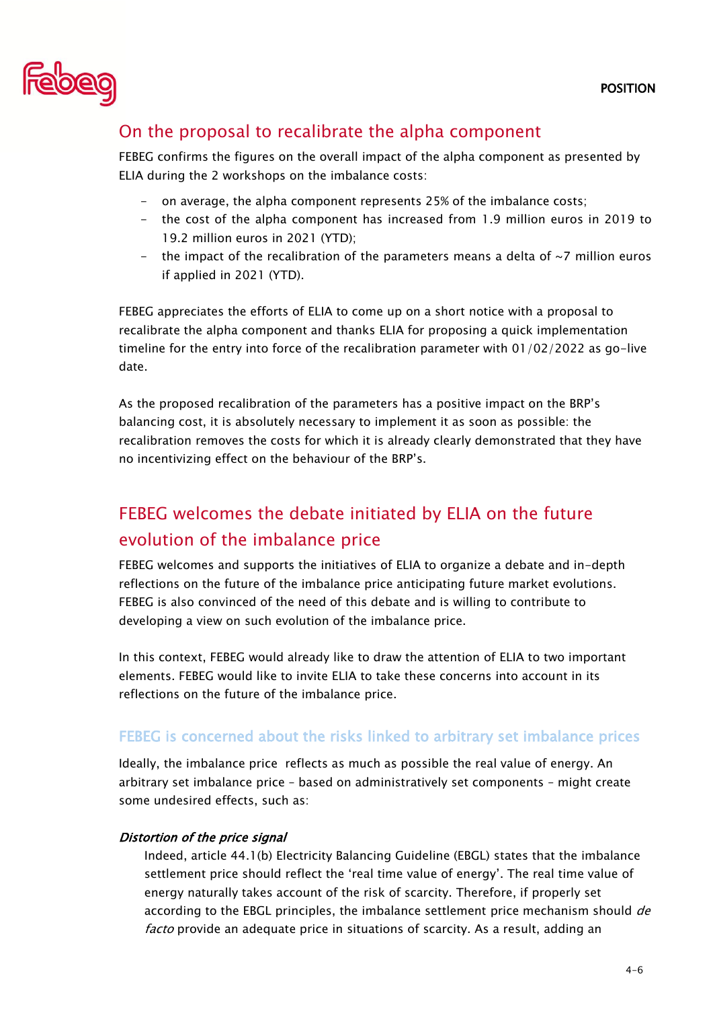

# On the proposal to recalibrate the alpha component

FEBEG confirms the figures on the overall impact of the alpha component as presented by ELIA during the 2 workshops on the imbalance costs:

- on average, the alpha component represents 25% of the imbalance costs;
- the cost of the alpha component has increased from 1.9 million euros in 2019 to 19.2 million euros in 2021 (YTD);
- the impact of the recalibration of the parameters means a delta of  $\sim$ 7 million euros if applied in 2021 (YTD).

FEBEG appreciates the efforts of ELIA to come up on a short notice with a proposal to recalibrate the alpha component and thanks ELIA for proposing a quick implementation timeline for the entry into force of the recalibration parameter with 01/02/2022 as go-live date.

As the proposed recalibration of the parameters has a positive impact on the BRP's balancing cost, it is absolutely necessary to implement it as soon as possible: the recalibration removes the costs for which it is already clearly demonstrated that they have no incentivizing effect on the behaviour of the BRP's.

# FEBEG welcomes the debate initiated by ELIA on the future evolution of the imbalance price

FEBEG welcomes and supports the initiatives of ELIA to organize a debate and in-depth reflections on the future of the imbalance price anticipating future market evolutions. FEBEG is also convinced of the need of this debate and is willing to contribute to developing a view on such evolution of the imbalance price.

In this context, FEBEG would already like to draw the attention of ELIA to two important elements. FEBEG would like to invite ELIA to take these concerns into account in its reflections on the future of the imbalance price.

### FEBEG is concerned about the risks linked to arbitrary set imbalance prices

Ideally, the imbalance price reflects as much as possible the real value of energy. An arbitrary set imbalance price – based on administratively set components – might create some undesired effects, such as:

#### Distortion of the price signal

Indeed, article 44.1(b) Electricity Balancing Guideline (EBGL) states that the imbalance settlement price should reflect the 'real time value of energy'. The real time value of energy naturally takes account of the risk of scarcity. Therefore, if properly set according to the EBGL principles, the imbalance settlement price mechanism should de facto provide an adequate price in situations of scarcity. As a result, adding an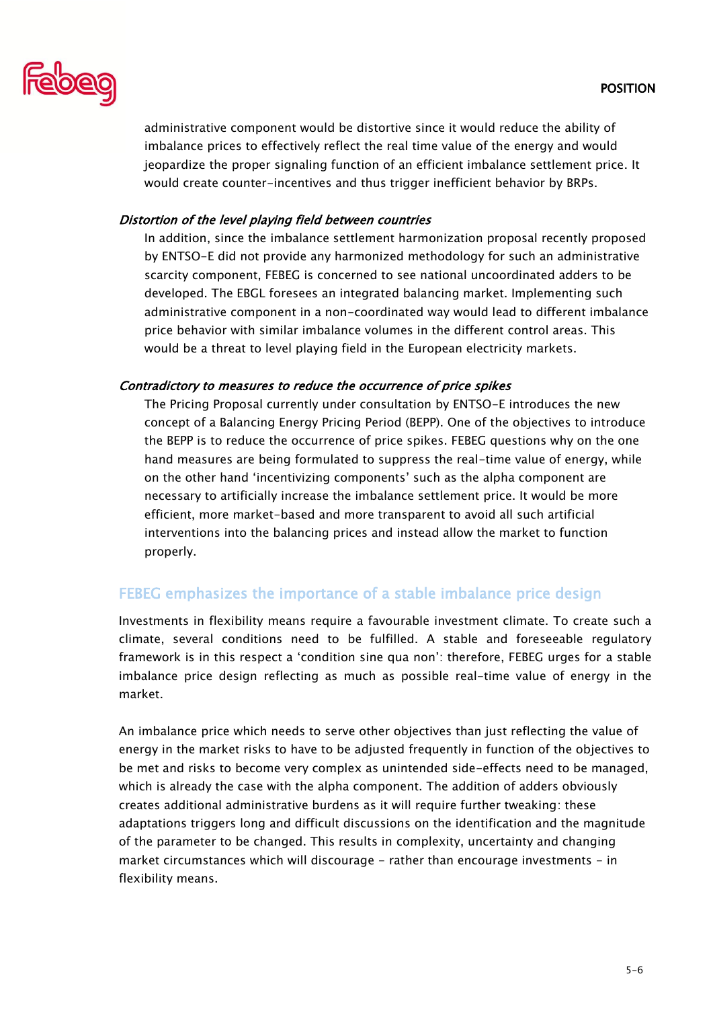

administrative component would be distortive since it would reduce the ability of imbalance prices to effectively reflect the real time value of the energy and would jeopardize the proper signaling function of an efficient imbalance settlement price. It would create counter-incentives and thus trigger inefficient behavior by BRPs.

#### Distortion of the level playing field between countries

In addition, since the imbalance settlement harmonization proposal recently proposed by ENTSO-E did not provide any harmonized methodology for such an administrative scarcity component, FEBEG is concerned to see national uncoordinated adders to be developed. The EBGL foresees an integrated balancing market. Implementing such administrative component in a non-coordinated way would lead to different imbalance price behavior with similar imbalance volumes in the different control areas. This would be a threat to level playing field in the European electricity markets.

#### Contradictory to measures to reduce the occurrence of price spikes

The Pricing Proposal currently under consultation by ENTSO-E introduces the new concept of a Balancing Energy Pricing Period (BEPP). One of the objectives to introduce the BEPP is to reduce the occurrence of price spikes. FEBEG questions why on the one hand measures are being formulated to suppress the real-time value of energy, while on the other hand 'incentivizing components' such as the alpha component are necessary to artificially increase the imbalance settlement price. It would be more efficient, more market-based and more transparent to avoid all such artificial interventions into the balancing prices and instead allow the market to function properly.

### FEBEG emphasizes the importance of a stable imbalance price design

Investments in flexibility means require a favourable investment climate. To create such a climate, several conditions need to be fulfilled. A stable and foreseeable regulatory framework is in this respect a 'condition sine qua non': therefore, FEBEG urges for a stable imbalance price design reflecting as much as possible real-time value of energy in the market.

An imbalance price which needs to serve other objectives than just reflecting the value of energy in the market risks to have to be adjusted frequently in function of the objectives to be met and risks to become very complex as unintended side-effects need to be managed, which is already the case with the alpha component. The addition of adders obviously creates additional administrative burdens as it will require further tweaking: these adaptations triggers long and difficult discussions on the identification and the magnitude of the parameter to be changed. This results in complexity, uncertainty and changing market circumstances which will discourage - rather than encourage investments - in flexibility means.